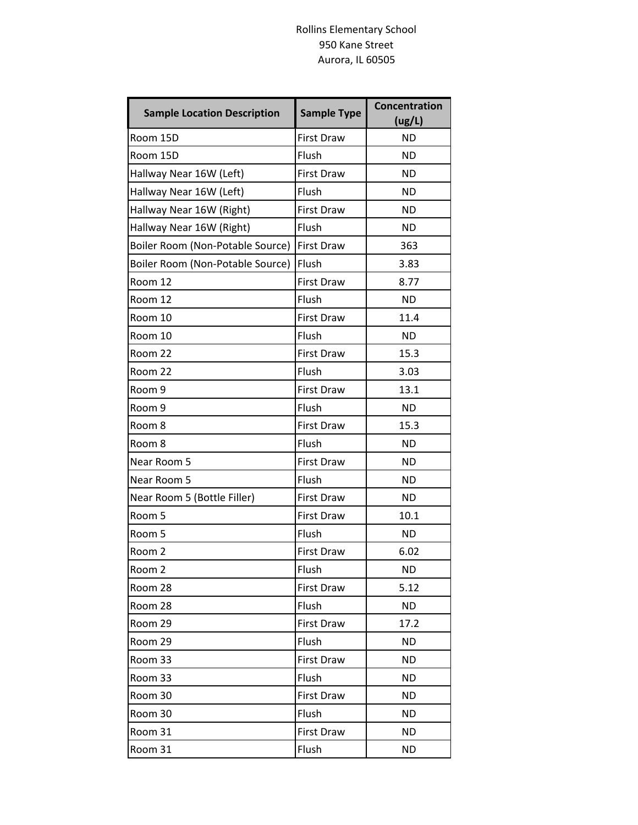## Rollins Elementary School 950 Kane Street Aurora, IL 60505

| <b>Sample Location Description</b> | <b>Sample Type</b> | <b>Concentration</b><br>(ug/L) |
|------------------------------------|--------------------|--------------------------------|
| Room 15D                           | <b>First Draw</b>  | <b>ND</b>                      |
| Room 15D                           | Flush              | <b>ND</b>                      |
| Hallway Near 16W (Left)            | <b>First Draw</b>  | <b>ND</b>                      |
| Hallway Near 16W (Left)            | Flush              | <b>ND</b>                      |
| Hallway Near 16W (Right)           | <b>First Draw</b>  | <b>ND</b>                      |
| Hallway Near 16W (Right)           | Flush              | <b>ND</b>                      |
| Boiler Room (Non-Potable Source)   | <b>First Draw</b>  | 363                            |
| Boiler Room (Non-Potable Source)   | Flush              | 3.83                           |
| Room 12                            | <b>First Draw</b>  | 8.77                           |
| Room 12                            | Flush              | <b>ND</b>                      |
| Room 10                            | <b>First Draw</b>  | 11.4                           |
| Room 10                            | Flush              | <b>ND</b>                      |
| Room 22                            | <b>First Draw</b>  | 15.3                           |
| Room 22                            | Flush              | 3.03                           |
| Room 9                             | <b>First Draw</b>  | 13.1                           |
| Room 9                             | Flush              | <b>ND</b>                      |
| Room 8                             | <b>First Draw</b>  | 15.3                           |
| Room 8                             | Flush              | <b>ND</b>                      |
| Near Room 5                        | <b>First Draw</b>  | <b>ND</b>                      |
| Near Room 5                        | Flush              | <b>ND</b>                      |
| Near Room 5 (Bottle Filler)        | <b>First Draw</b>  | <b>ND</b>                      |
| Room 5                             | <b>First Draw</b>  | 10.1                           |
| Room 5                             | Flush              | <b>ND</b>                      |
| Room 2                             | <b>First Draw</b>  | 6.02                           |
| Room 2                             | Flush              | <b>ND</b>                      |
| Room 28                            | <b>First Draw</b>  | 5.12                           |
| Room 28                            | Flush              | <b>ND</b>                      |
| Room 29                            | <b>First Draw</b>  | 17.2                           |
| Room 29                            | Flush              | <b>ND</b>                      |
| Room 33                            | <b>First Draw</b>  | <b>ND</b>                      |
| Room 33                            | Flush              | <b>ND</b>                      |
| Room 30                            | <b>First Draw</b>  | <b>ND</b>                      |
| Room 30                            | Flush              | <b>ND</b>                      |
| Room 31                            | <b>First Draw</b>  | <b>ND</b>                      |
| Room 31                            | Flush              | <b>ND</b>                      |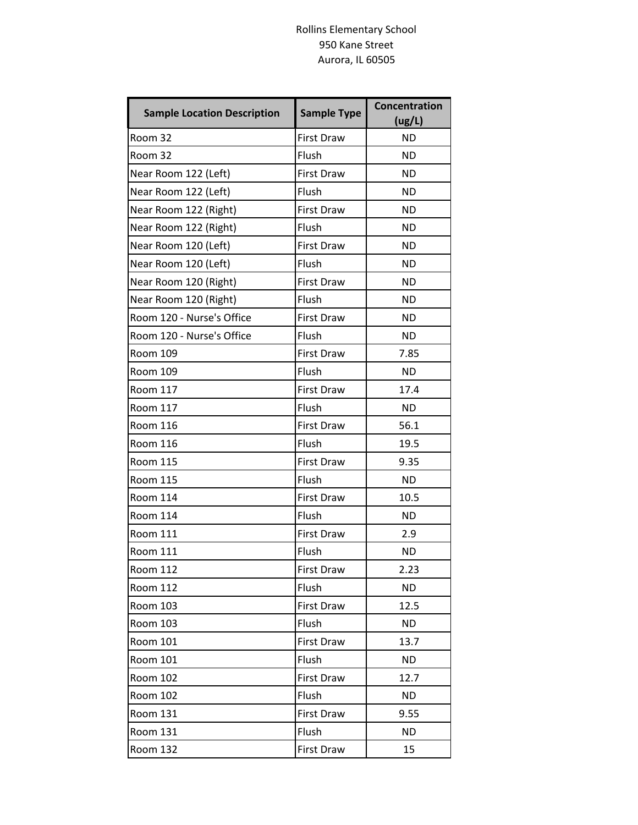## Rollins Elementary School 950 Kane Street Aurora, IL 60505

| <b>Sample Location Description</b> | <b>Sample Type</b> | <b>Concentration</b><br>(ug/L) |
|------------------------------------|--------------------|--------------------------------|
| Room 32                            | <b>First Draw</b>  | <b>ND</b>                      |
| Room 32                            | Flush              | <b>ND</b>                      |
| Near Room 122 (Left)               | <b>First Draw</b>  | <b>ND</b>                      |
| Near Room 122 (Left)               | Flush              | <b>ND</b>                      |
| Near Room 122 (Right)              | <b>First Draw</b>  | <b>ND</b>                      |
| Near Room 122 (Right)              | Flush              | <b>ND</b>                      |
| Near Room 120 (Left)               | <b>First Draw</b>  | <b>ND</b>                      |
| Near Room 120 (Left)               | Flush              | ND                             |
| Near Room 120 (Right)              | <b>First Draw</b>  | <b>ND</b>                      |
| Near Room 120 (Right)              | Flush              | <b>ND</b>                      |
| Room 120 - Nurse's Office          | <b>First Draw</b>  | <b>ND</b>                      |
| Room 120 - Nurse's Office          | Flush              | <b>ND</b>                      |
| <b>Room 109</b>                    | <b>First Draw</b>  | 7.85                           |
| <b>Room 109</b>                    | Flush              | <b>ND</b>                      |
| <b>Room 117</b>                    | <b>First Draw</b>  | 17.4                           |
| <b>Room 117</b>                    | Flush              | <b>ND</b>                      |
| <b>Room 116</b>                    | <b>First Draw</b>  | 56.1                           |
| <b>Room 116</b>                    | Flush              | 19.5                           |
| <b>Room 115</b>                    | <b>First Draw</b>  | 9.35                           |
| <b>Room 115</b>                    | Flush              | <b>ND</b>                      |
| <b>Room 114</b>                    | <b>First Draw</b>  | 10.5                           |
| <b>Room 114</b>                    | Flush              | <b>ND</b>                      |
| <b>Room 111</b>                    | <b>First Draw</b>  | 2.9                            |
| <b>Room 111</b>                    | Flush              | <b>ND</b>                      |
| Room 112                           | First Draw         | 2.23                           |
| <b>Room 112</b>                    | Flush              | <b>ND</b>                      |
| <b>Room 103</b>                    | <b>First Draw</b>  | 12.5                           |
| Room 103                           | Flush              | ND.                            |
| Room 101                           | <b>First Draw</b>  | 13.7                           |
| Room 101                           | Flush              | ND.                            |
| <b>Room 102</b>                    | <b>First Draw</b>  | 12.7                           |
| Room 102                           | Flush              | <b>ND</b>                      |
| <b>Room 131</b>                    | <b>First Draw</b>  | 9.55                           |
| <b>Room 131</b>                    | Flush              | <b>ND</b>                      |
| <b>Room 132</b>                    | <b>First Draw</b>  | 15                             |